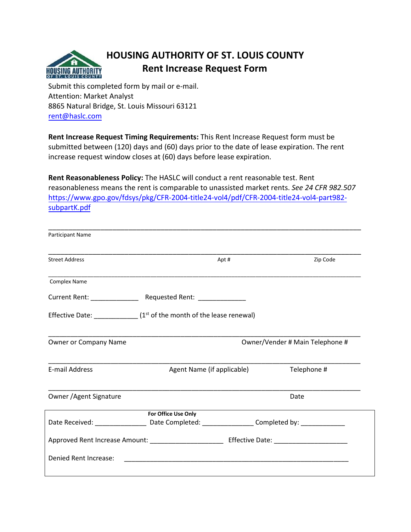

## **HOUSING AUTHORITY OF ST. LOUIS COUNTY Rent Increase Request Form**

Submit this completed form by mail or e-mail. Attention: Market Analyst 8865 Natural Bridge, St. Louis Missouri 63121 rent@haslc.com

**Rent Increase Request Timing Requirements:** This Rent Increase Request form must be submitted between (120) days and (60) days prior to the date of lease expiration. The rent increase request window closes at (60) days before lease expiration.

**Rent Reasonableness Policy:** The HASLC will conduct a rent reasonable test. Rent reasonableness means the rent is comparable to unassisted market rents. *See 24 CFR 982.507*  [https://www.gpo.gov/fdsys/pkg/CFR-2004-title24-vol4/pdf/CFR-2004-title24-vol4-part982](https://www.gpo.gov/fdsys/pkg/CFR-2004-title24-vol4/pdf/CFR-2004-title24-vol4-part982-subpartK.pdf) [subpartK.pdf](https://www.gpo.gov/fdsys/pkg/CFR-2004-title24-vol4/pdf/CFR-2004-title24-vol4-part982-subpartK.pdf)

| Participant Name                                                                                     |                                                                                          |             |                                 |  |  |  |  |  |
|------------------------------------------------------------------------------------------------------|------------------------------------------------------------------------------------------|-------------|---------------------------------|--|--|--|--|--|
| <b>Street Address</b>                                                                                | Apt #                                                                                    |             | Zip Code                        |  |  |  |  |  |
| <b>Complex Name</b>                                                                                  |                                                                                          |             |                                 |  |  |  |  |  |
|                                                                                                      |                                                                                          |             |                                 |  |  |  |  |  |
|                                                                                                      | Effective Date: $\frac{1}{\sqrt{1-\frac{1}{n}}}$ (1st of the month of the lease renewal) |             |                                 |  |  |  |  |  |
| Owner or Company Name                                                                                |                                                                                          |             | Owner/Vender # Main Telephone # |  |  |  |  |  |
| <b>E-mail Address</b>                                                                                | Agent Name (if applicable)                                                               | Telephone # |                                 |  |  |  |  |  |
| Owner / Agent Signature                                                                              |                                                                                          |             | Date                            |  |  |  |  |  |
|                                                                                                      | For Office Use Only                                                                      |             |                                 |  |  |  |  |  |
| Date Received: ______________________Date Completed: __________________Completed by: _______________ |                                                                                          |             |                                 |  |  |  |  |  |
|                                                                                                      |                                                                                          |             |                                 |  |  |  |  |  |
| Denied Rent Increase:                                                                                |                                                                                          |             |                                 |  |  |  |  |  |
|                                                                                                      |                                                                                          |             |                                 |  |  |  |  |  |